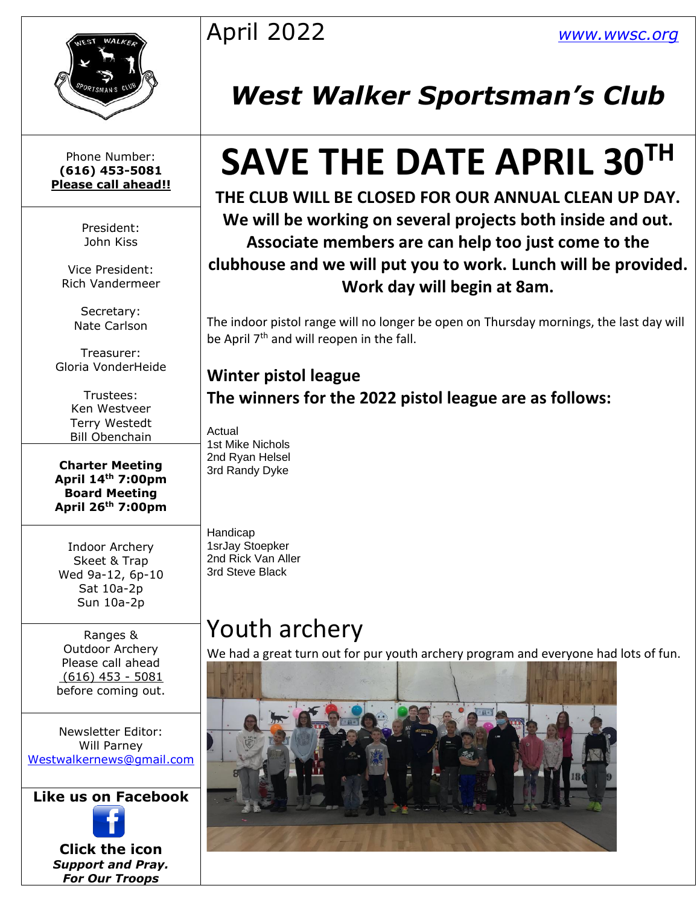

Phone Number: **(616) 453-5081 Please call ahead!!**

> President: John Kiss

Vice President: Rich Vandermeer

> Secretary: Nate Carlson

Treasurer: Gloria VonderHeide

> Trustees: Ken Westveer Terry Westedt Bill Obenchain

**Charter Meeting April 14th 7:00pm Board Meeting April 26th 7:00pm**

Indoor Archery Skeet & Trap Wed 9a-12, 6p-10 Sat 10a-2p Sun 10a-2p

Ranges & Outdoor Archery Please call ahead (616) 453 - 5081 before coming out.

Newsletter Editor: Will Parney [Westwalkernews@gmail.com](mailto:Westwalkernews@gmail.com)

**Like us on Facebook**



**Click [the](http://commons.wikimedia.org/wiki/file:facebook_shiny_icon.svg) icon** *Suppo[rt an](http://commons.wikimedia.org/wiki/file:facebook_shiny_icon.svg)d Pray. For [Our](http://commons.wikimedia.org/wiki/file:facebook_shiny_icon.svg) Troops*

## April 2022 *[www.wwsc.org](http://www.wwsc.org/)*

## *West Walker Sportsman's Club*

# **SAVE THE DATE APRIL 30TH**

**THE CLUB WILL BE CLOSED FOR OUR ANNUAL CLEAN UP DAY. We will be working on several projects both inside and out. Associate members are can help too just come to the clubhouse and we will put you to work. Lunch will be provided. Work day will begin at 8am.**

The indoor pistol range will no longer be open on Thursday mornings, the last day will be April 7<sup>th</sup> and will reopen in the fall.

**Winter pistol league The winners for the 2022 pistol league are as follows:**

Actual 1st Mike Nichols 2nd Ryan Helsel 3rd Randy Dyke

Handicap 1srJay Stoepker 2nd Rick Van Aller 3rd Steve Black

## Youth archery

We had a great turn out for pur youth archery program and everyone had lots of fun.

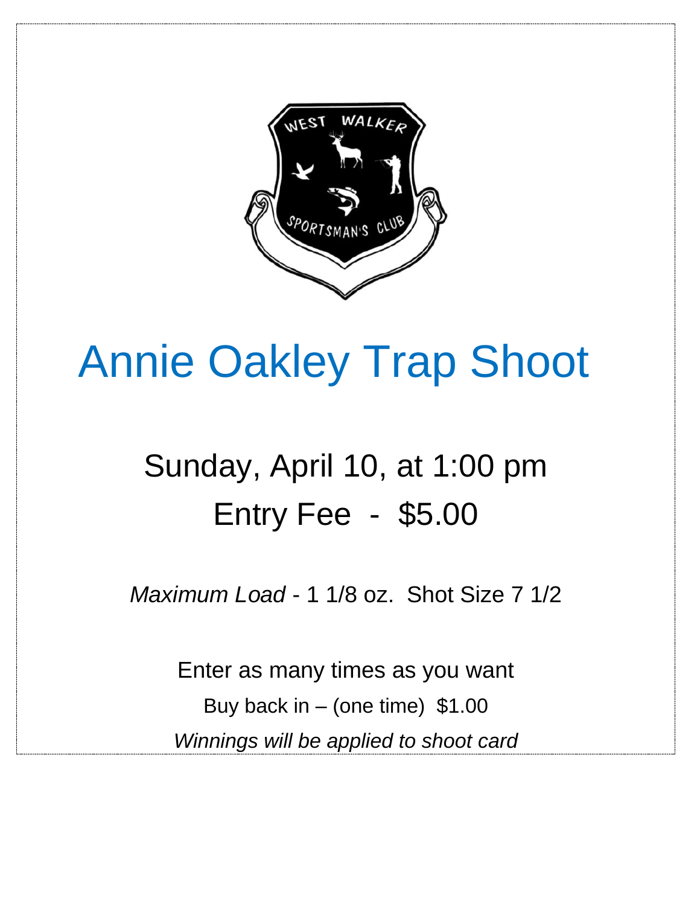

# Annie Oakley Trap Shoot

## Sunday, April 10, at 1:00 pm Entry Fee - \$5.00

*Maximum Load* - 1 1/8 oz. Shot Size 7 1/2

Enter as many times as you want Buy back in – (one time)  $$1.00$ *Winnings will be applied to shoot card*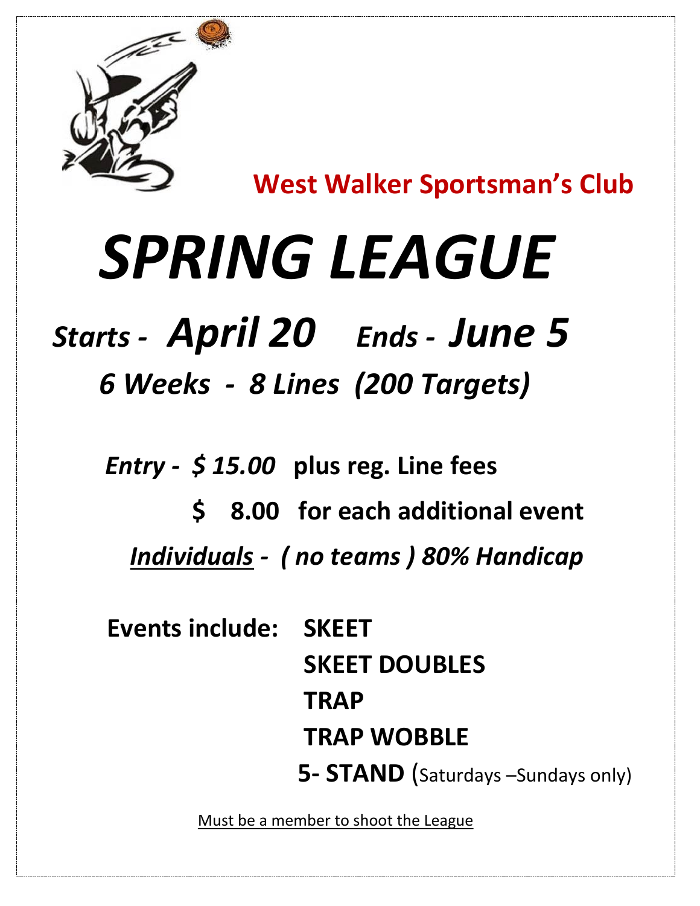

**West Walker Sportsman's Club**

# *SPRING LEAGUE*

# *Starts - April 20 Ends - June 5*

 *6 Weeks - 8 Lines (200 Targets)*

 *Entry - \$ 15.00* **plus reg. Line fees**

 **\$ 8.00 for each additional event** *Individuals - ( no teams ) 80% Handicap*

 **Events include: SKEET SKEET DOUBLES TRAP TRAP WOBBLE 5- STAND** (Saturdays –Sundays only)

Must be a member to shoot the League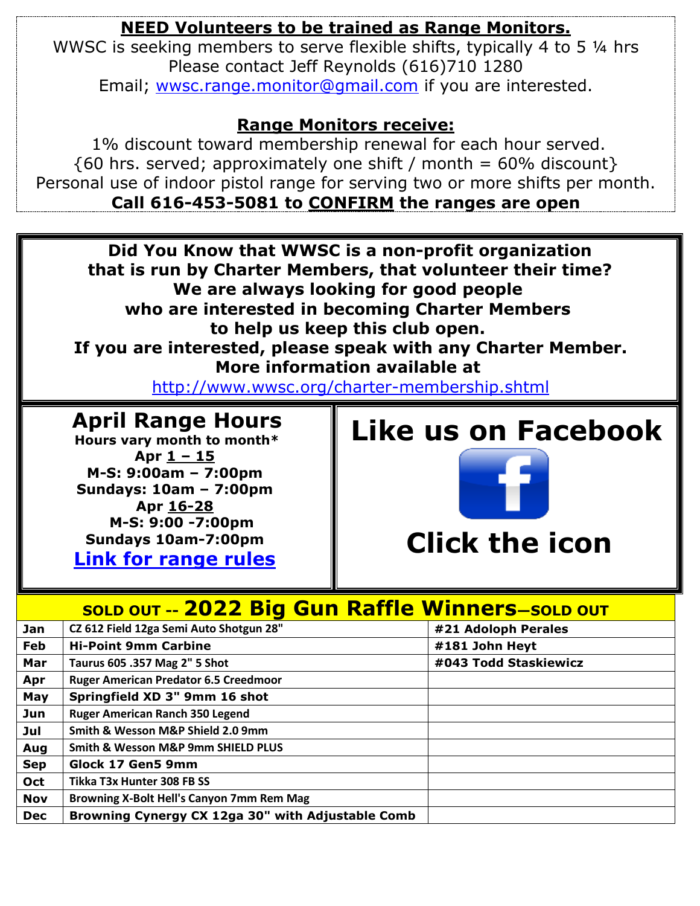### **NEED Volunteers to be trained as Range Monitors.**

WWSC is seeking members to serve flexible shifts, typically 4 to 5  $\frac{1}{4}$  hrs Please contact Jeff Reynolds (616)710 1280 Email; [wwsc.range.monitor@gmail.com](mailto:wwsc.range.monitor@gmail.com) if you are interested.

### **Range Monitors receive:**

1% discount toward membership renewal for each hour served.  ${60 \text{ hrs. served}}$ ; approximately one shift / month = 60% discount } Personal use of indoor pistol range for serving two or more shifts per month. **Call 616-453-5081 to CONFIRM the ranges are open**

**Did You Know that WWSC is a non-profit organization that is run by Charter Members, that volunteer their time? We are always looking for good people who are interested in becoming Charter Members to help us keep this club open. If you are interested, please speak with any Charter Member. More information available at** 

<http://www.wwsc.org/charter-membership.shtml>

### **April Range Hours**

**Hours vary month to month\* Apr 1 – 15 M-S: 9:00am – 7:00pm Sundays: 10am – 7:00pm Apr 16-28 M-S: 9:00 -7:00pm Sundays 10am-7:00pm**

**[Link for range rules](http://www.wwsc.org/img/ranges/RangeRules.pdf)**

### **Like us on Facebook**



|            | <b>SOLD OUT -- 2022 Big Gun Raffle Winners-SOLD OUT</b> |                       |
|------------|---------------------------------------------------------|-----------------------|
| Jan        | CZ 612 Field 12ga Semi Auto Shotgun 28"                 | #21 Adoloph Perales   |
| Feb        | <b>Hi-Point 9mm Carbine</b>                             | #181 John Heyt        |
| Mar        | Taurus 605 .357 Mag 2" 5 Shot                           | #043 Todd Staskiewicz |
| Apr        | <b>Ruger American Predator 6.5 Creedmoor</b>            |                       |
| May        | Springfield XD 3" 9mm 16 shot                           |                       |
| Jun        | <b>Ruger American Ranch 350 Legend</b>                  |                       |
| Jul        | Smith & Wesson M&P Shield 2.0 9mm                       |                       |
| Aug        | Smith & Wesson M&P 9mm SHIELD PLUS                      |                       |
| <b>Sep</b> | Glock 17 Gen5 9mm                                       |                       |
| Oct        | Tikka T3x Hunter 308 FB SS                              |                       |
| <b>Nov</b> | Browning X-Bolt Hell's Canyon 7mm Rem Mag               |                       |
| <b>Dec</b> | Browning Cynergy CX 12ga 30" with Adjustable Comb       |                       |